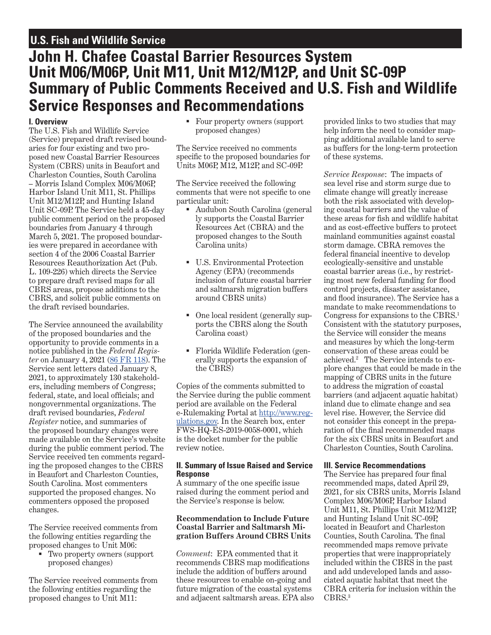# **U.S. Fish and Wildlife Service**

# **John H. Chafee Coastal Barrier Resources System Unit M06/M06P, Unit M11, Unit M12/M12P, and Unit SC-09P Summary of Public Comments Received and U.S. Fish and Wildlife Service Responses and Recommendations**

# **I. Overview**

The U.S. Fish and Wildlife Service (Service) prepared draft revised boundaries for four existing and two proposed new Coastal Barrier Resources System (CBRS) units in Beaufort and Charleston Counties, South Carolina – Morris Island Complex M06/M06P, Harbor Island Unit M11, St. Phillips Unit M12/M12P, and Hunting Island Unit SC-09P. The Service held a 45-day public comment period on the proposed boundaries from January 4 through March 5, 2021. The proposed boundaries were prepared in accordance with section 4 of the 2006 Coastal Barrier Resources Reauthorization Act (Pub. L. 109-226) which directs the Service to prepare draft revised maps for all CBRS areas, propose additions to the CBRS, and solicit public comments on the draft revised boundaries.

The Service announced the availability of the proposed boundaries and the opportunity to provide comments in a notice published in the *Federal Register* on January 4, 2021 [\(86 FR 118](https://www.federalregister.gov/documents/2021/01/04/2020-29043/john-h-chafee-coastal-barrier-resources-system-okaloosa-and-walton-counties-fl-beaufort-and)). The Service sent letters dated January 8, 2021, to approximately 130 stakeholders, including members of Congress; federal, state, and local officials; and nongovernmental organizations. The draft revised boundaries, *Federal Register* notice, and summaries of the proposed boundary changes were made available on the Service's website during the public comment period. The Service received ten comments regarding the proposed changes to the CBRS in Beaufort and Charleston Counties, South Carolina. Most commenters supported the proposed changes. No commenters opposed the proposed changes.

The Service received comments from the following entities regarding the proposed changes to Unit M06:

 Two property owners (support proposed changes)

The Service received comments from the following entities regarding the proposed changes to Unit M11:

 Four property owners (support proposed changes)

The Service received no comments specifc to the proposed boundaries for Units M06P, M12, M12P, and SC-09P.

The Service received the following comments that were not specifc to one particular unit:

- Audubon South Carolina (general ly supports the Coastal Barrier Resources Act (CBRA) and the proposed changes to the South Carolina units)
- U.S. Environmental Protection Agency (EPA) (recommends inclusion of future coastal barrier and saltmarsh migration buffers around CBRS units)
- One local resident (generally supports the CBRS along the South Carolina coast)
- Florida Wildlife Federation (generally supports the expansion of the CBRS)

Copies of the comments submitted to the Service during the public comment period are available on the Federal e-Rulemaking Portal at [http://www.reg](http://www.regulations.gov)[ulations.gov.](http://www.regulations.gov) In the Search box, enter FWS-HQ-ES-2019-0058-0001, which is the docket number for the public review notice.

#### **II. Summary of Issue Raised and Service Response**

A summary of the one specifc issue raised during the comment period and the Service's response is below.

### **Recommendation to Include Future Coastal Barrier and Saltmarsh Migration Buffers Around CBRS Units**

*Comment*: EPA commented that it recommends CBRS map modifcations include the addition of buffers around these resources to enable on-going and future migration of the coastal systems and adjacent saltmarsh areas. EPA also provided links to two studies that may help inform the need to consider mapping additional available land to serve as buffers for the long-term protection of these systems.

Congress for expansions to the CBRS.<sup>1</sup> *Service Response*: The impacts of sea level rise and storm surge due to climate change will greatly increase both the risk associated with developing coastal barriers and the value of these areas for fsh and wildlife habitat and as cost-effective buffers to protect mainland communities against coastal storm damage. CBRA removes the federal fnancial incentive to develop ecologically-sensitive and unstable coastal barrier areas (i.e., by restricting most new federal funding for flood control projects, disaster assistance, and food insurance). The Service has a mandate to make recommendations to Consistent with the statutory purposes, the Service will consider the means and measures by which the long-term conservation of these areas could be achieved.2 The Service intends to explore changes that could be made in the mapping of CBRS units in the future to address the migration of coastal barriers (and adjacent aquatic habitat) inland due to climate change and sea level rise. However, the Service did not consider this concept in the preparation of the fnal recommended maps for the six CBRS units in Beaufort and Charleston Counties, South Carolina.

## **III. Service Recommendations**

The Service has prepared four fnal recommended maps, dated April 29, 2021, for six CBRS units, Morris Island Complex M06/M06P, Harbor Island Unit M11, St. Phillips Unit M12/M12P, and Hunting Island Unit SC-09P, located in Beaufort and Charleston Counties, South Carolina. The fnal recommended maps remove private properties that were inappropriately included within the CBRS in the past and add undeveloped lands and associated aquatic habitat that meet the CBRA criteria for inclusion within the CBRS.3